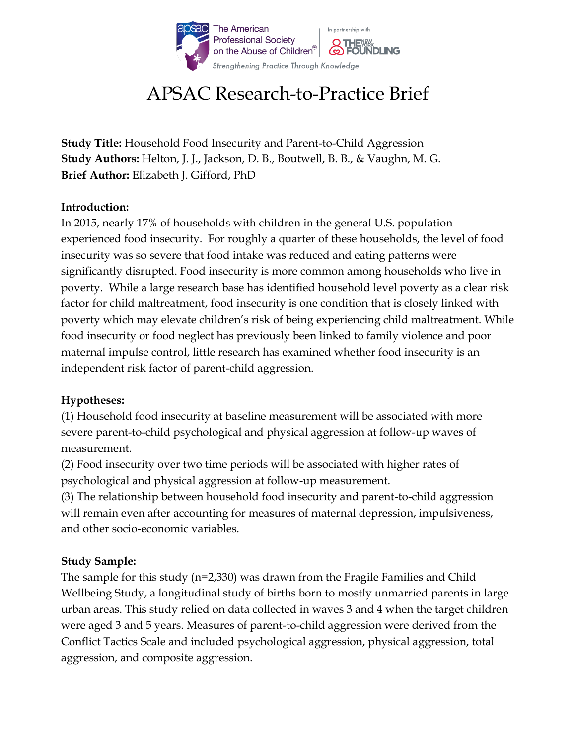

# APSAC Research-to-Practice Brief

**Study Title:** Household Food Insecurity and Parent-to-Child Aggression **Study Authors:** Helton, J. J., Jackson, D. B., Boutwell, B. B., & Vaughn, M. G. **Brief Author:** Elizabeth J. Gifford, PhD

#### **Introduction:**

In 2015, nearly 17% of households with children in the general U.S. population experienced food insecurity. For roughly a quarter of these households, the level of food insecurity was so severe that food intake was reduced and eating patterns were significantly disrupted. Food insecurity is more common among households who live in poverty. While a large research base has identified household level poverty as a clear risk factor for child maltreatment, food insecurity is one condition that is closely linked with poverty which may elevate children's risk of being experiencing child maltreatment. While food insecurity or food neglect has previously been linked to family violence and poor maternal impulse control, little research has examined whether food insecurity is an independent risk factor of parent-child aggression.

## **Hypotheses:**

(1) Household food insecurity at baseline measurement will be associated with more severe parent-to-child psychological and physical aggression at follow-up waves of measurement.

(2) Food insecurity over two time periods will be associated with higher rates of psychological and physical aggression at follow-up measurement.

(3) The relationship between household food insecurity and parent-to-child aggression will remain even after accounting for measures of maternal depression, impulsiveness, and other socio-economic variables.

## **Study Sample:**

The sample for this study (n=2,330) was drawn from the Fragile Families and Child Wellbeing Study, a longitudinal study of births born to mostly unmarried parents in large urban areas. This study relied on data collected in waves 3 and 4 when the target children were aged 3 and 5 years. Measures of parent-to-child aggression were derived from the Conflict Tactics Scale and included psychological aggression, physical aggression, total aggression, and composite aggression.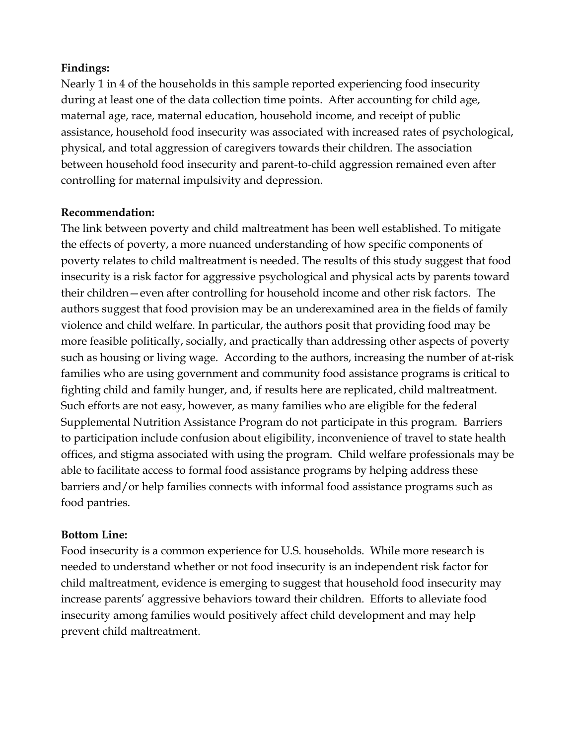## **Findings:**

Nearly 1 in 4 of the households in this sample reported experiencing food insecurity during at least one of the data collection time points. After accounting for child age, maternal age, race, maternal education, household income, and receipt of public assistance, household food insecurity was associated with increased rates of psychological, physical, and total aggression of caregivers towards their children. The association between household food insecurity and parent-to-child aggression remained even after controlling for maternal impulsivity and depression.

#### **Recommendation:**

The link between poverty and child maltreatment has been well established. To mitigate the effects of poverty, a more nuanced understanding of how specific components of poverty relates to child maltreatment is needed. The results of this study suggest that food insecurity is a risk factor for aggressive psychological and physical acts by parents toward their children—even after controlling for household income and other risk factors. The authors suggest that food provision may be an underexamined area in the fields of family violence and child welfare. In particular, the authors posit that providing food may be more feasible politically, socially, and practically than addressing other aspects of poverty such as housing or living wage. According to the authors, increasing the number of at-risk families who are using government and community food assistance programs is critical to fighting child and family hunger, and, if results here are replicated, child maltreatment. Such efforts are not easy, however, as many families who are eligible for the federal Supplemental Nutrition Assistance Program do not participate in this program. Barriers to participation include confusion about eligibility, inconvenience of travel to state health offices, and stigma associated with using the program. Child welfare professionals may be able to facilitate access to formal food assistance programs by helping address these barriers and/or help families connects with informal food assistance programs such as food pantries.

#### **Bottom Line:**

Food insecurity is a common experience for U.S. households. While more research is needed to understand whether or not food insecurity is an independent risk factor for child maltreatment, evidence is emerging to suggest that household food insecurity may increase parents' aggressive behaviors toward their children. Efforts to alleviate food insecurity among families would positively affect child development and may help prevent child maltreatment.